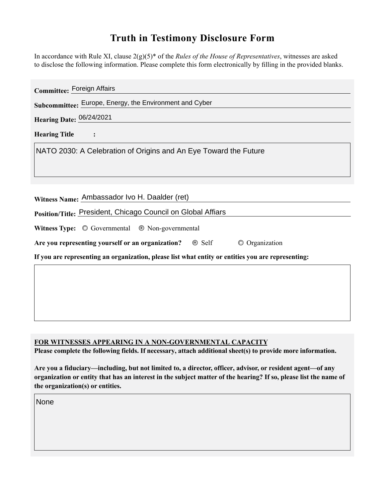# **Truth in Testimony Disclosure Form**

In accordance with Rule XI, clause 2(g)(5)\* of the *Rules of the House of Representatives*, witnesses are asked to disclose the following information. Please complete this form electronically by filling in the provided blanks.

| Committee: Foreign Affairs                                                                         |
|----------------------------------------------------------------------------------------------------|
| Subcommittee: Europe, Energy, the Environment and Cyber                                            |
| Hearing Date: 06/24/2021                                                                           |
| <b>Hearing Title</b>                                                                               |
| NATO 2030: A Celebration of Origins and An Eye Toward the Future                                   |
|                                                                                                    |
|                                                                                                    |
| Witness Name: Ambassador Ivo H. Daalder (ret)                                                      |
| Position/Title: President, Chicago Council on Global Affiars                                       |
| Witness Type: $\circledcirc$ Governmental $\circledcirc$ Non-governmental                          |
| Are you representing yourself or an organization?  Self<br>© Organization                          |
| If you are representing an organization, please list what entity or entities you are representing: |
|                                                                                                    |
|                                                                                                    |
|                                                                                                    |

# **FOR WITNESSES APPEARING IN A NON-GOVERNMENTAL CAPACITY**

**Please complete the following fields. If necessary, attach additional sheet(s) to provide more information.**

**Are you a fiduciary—including, but not limited to, a director, officer, advisor, or resident agent—of any organization or entity that has an interest in the subject matter of the hearing? If so, please list the name of the organization(s) or entities.**

None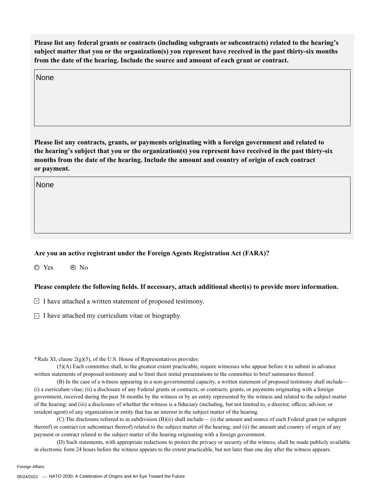**Please list any federal grants or contracts (including subgrants or subcontracts) related to the hearing's subject matter that you or the organization(s) you represent have received in the past thirty-six months from the date of the hearing. Include the source and amount of each grant or contract.**

None

**Please list any contracts, grants, or payments originating with a foreign government and related to the hearing's subject that you or the organization(s) you represent have received in the past thirty-six months from the date of the hearing. Include the amount and country of origin of each contract or payment.**

None

### **Are you an active registrant under the Foreign Agents Registration Act (FARA)?**

O Yes 
<sub>O</sub> No

#### **Please complete the following fields. If necessary, attach additional sheet(s) to provide more information.**

 $\Box$  I have attached a written statement of proposed testimony.

 $\Box$  I have attached my curriculum vitae or biography.

**\***Rule XI, clause 2(g)(5), of the U.S. House of Representatives provides:

(5)(A) Each committee shall, to the greatest extent practicable, require witnesses who appear before it to submit in advance written statements of proposed testimony and to limit their initial presentations to the committee to brief summaries thereof.

(B) In the case of a witness appearing in a non-governmental capacity, a written statement of proposed testimony shall include— (i) a curriculum vitae; (ii) a disclosure of any Federal grants or contracts, or contracts, grants, or payments originating with a foreign government, received during the past 36 months by the witness or by an entity represented by the witness and related to the subject matter of the hearing; and (iii) a disclosure of whether the witness is a fiduciary (including, but not limited to, a director, officer, advisor, or resident agent) of any organization or entity that has an interest in the subject matter of the hearing.

(C) The disclosure referred to in subdivision (B)(ii) shall include— (i) the amount and source of each Federal grant (or subgrant thereof) or contract (or subcontract thereof) related to the subject matter of the hearing; and (ii) the amount and country of origin of any payment or contract related to the subject matter of the hearing originating with a foreign government.

(D) Such statements, with appropriate redactions to protect the privacy or security of the witness, shall be made publicly available in electronic form 24 hours before the witness appears to the extent practicable, but not later than one day after the witness appears.